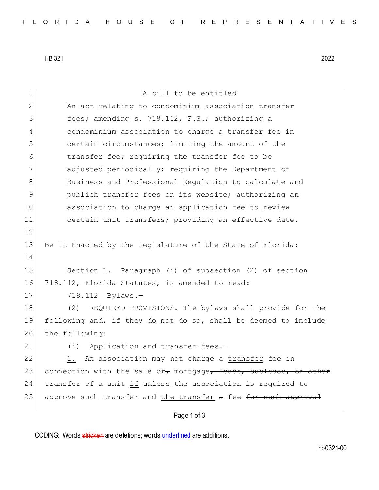HB 321 2022

| 1             | A bill to be entitled                                            |
|---------------|------------------------------------------------------------------|
| 2             | An act relating to condominium association transfer              |
| 3             | fees; amending s. 718.112, F.S.; authorizing a                   |
| 4             | condominium association to charge a transfer fee in              |
| 5             | certain circumstances; limiting the amount of the                |
| 6             | transfer fee; requiring the transfer fee to be                   |
| 7             | adjusted periodically; requiring the Department of               |
| 8             | Business and Professional Regulation to calculate and            |
| $\mathcal{G}$ | publish transfer fees on its website; authorizing an             |
| 10            | association to charge an application fee to review               |
| 11            | certain unit transfers; providing an effective date.             |
| 12            |                                                                  |
| 13            | Be It Enacted by the Legislature of the State of Florida:        |
| 14            |                                                                  |
| 15            | Section 1. Paragraph (i) of subsection (2) of section            |
| 16            | 718.112, Florida Statutes, is amended to read:                   |
| 17            | 718.112<br>$Bylaws. -$                                           |
| 18            | (2)<br>REQUIRED PROVISIONS. The bylaws shall provide for the     |
| 19            | following and, if they do not do so, shall be deemed to include  |
| 20            | the following:                                                   |
| 21            | Application and transfer fees.-<br>(i)                           |
| 22            | An association may not charge a transfer fee in<br>1.            |
| 23            | connection with the sale or, mortgage, lease, sublease, or other |
| 24            | transfer of a unit if unless the association is required to      |
| 25            | approve such transfer and the transfer a fee for such approval   |
|               | Page 1 of 3                                                      |

CODING: Words stricken are deletions; words underlined are additions.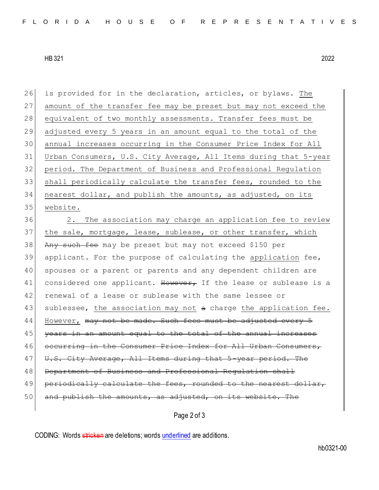HB 321 2022

 is provided for in the declaration, articles, or bylaws. The 27 amount of the transfer fee may be preset but may not exceed the 28 equivalent of two monthly assessments. Transfer fees must be adjusted every 5 years in an amount equal to the total of the annual increases occurring in the Consumer Price Index for All Urban Consumers, U.S. City Average, All Items during that 5-year period. The Department of Business and Professional Regulation shall periodically calculate the transfer fees, rounded to the nearest dollar, and publish the amounts, as adjusted, on its 35 website.

36 2. The association may charge an application fee to review 37 the sale, mortgage, lease, sublease, or other transfer, which 38 Any such fee may be preset but may not exceed \$150 per 39 applicant. For the purpose of calculating the application fee, 40 spouses or a parent or parents and any dependent children are 41 considered one applicant. However, If the lease or sublease is a 42 renewal of a lease or sublease with the same lessee or 43 | sublessee, the association may not a charge the application fee. 44 However, may not be made. Such fees must be adjusted 45 years in an amount equal to the total of the annual increa 46 occurring in the Consumer Price Index for All Urban Consumers, 47 U.S. City Average, All Items during that 5-year period. The 48 Department of Business and Professional Regulation shall 49 periodically calculate the fees, rounded to the nearest dollar, 50 and publish the amounts, as adjusted, on its website. The

Page 2 of 3

CODING: Words stricken are deletions; words underlined are additions.